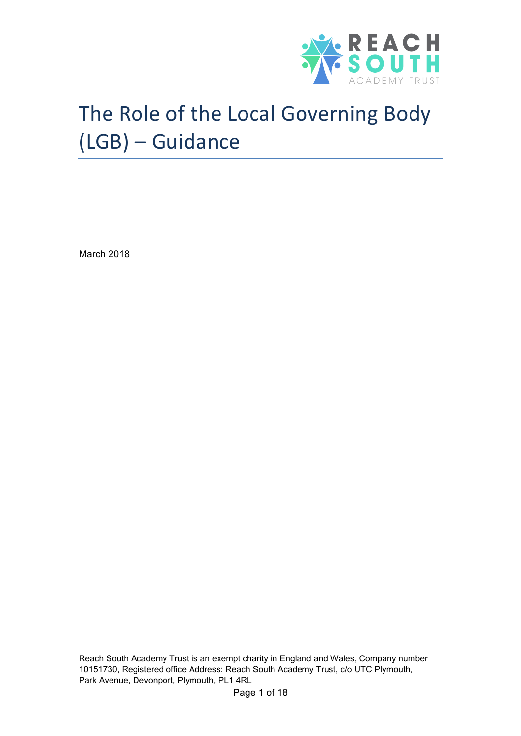

# The Role of the Local Governing Body (LGB) – Guidance

March 2018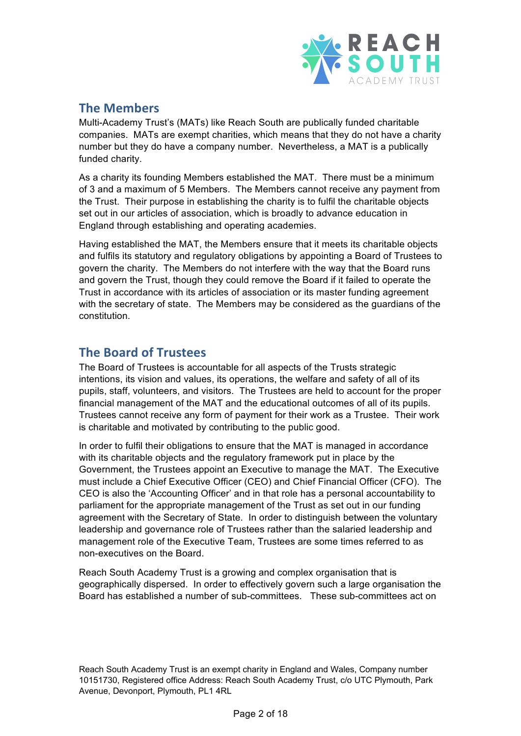

### **The Members**

Multi-Academy Trust's (MATs) like Reach South are publically funded charitable companies. MATs are exempt charities, which means that they do not have a charity number but they do have a company number. Nevertheless, a MAT is a publically funded charity.

As a charity its founding Members established the MAT. There must be a minimum of 3 and a maximum of 5 Members. The Members cannot receive any payment from the Trust. Their purpose in establishing the charity is to fulfil the charitable objects set out in our articles of association, which is broadly to advance education in England through establishing and operating academies.

Having established the MAT, the Members ensure that it meets its charitable objects and fulfils its statutory and regulatory obligations by appointing a Board of Trustees to govern the charity. The Members do not interfere with the way that the Board runs and govern the Trust, though they could remove the Board if it failed to operate the Trust in accordance with its articles of association or its master funding agreement with the secretary of state. The Members may be considered as the guardians of the constitution.

## **The Board of Trustees**

The Board of Trustees is accountable for all aspects of the Trusts strategic intentions, its vision and values, its operations, the welfare and safety of all of its pupils, staff, volunteers, and visitors. The Trustees are held to account for the proper financial management of the MAT and the educational outcomes of all of its pupils. Trustees cannot receive any form of payment for their work as a Trustee. Their work is charitable and motivated by contributing to the public good.

In order to fulfil their obligations to ensure that the MAT is managed in accordance with its charitable objects and the regulatory framework put in place by the Government, the Trustees appoint an Executive to manage the MAT. The Executive must include a Chief Executive Officer (CEO) and Chief Financial Officer (CFO). The CEO is also the 'Accounting Officer' and in that role has a personal accountability to parliament for the appropriate management of the Trust as set out in our funding agreement with the Secretary of State. In order to distinguish between the voluntary leadership and governance role of Trustees rather than the salaried leadership and management role of the Executive Team, Trustees are some times referred to as non-executives on the Board.

Reach South Academy Trust is a growing and complex organisation that is geographically dispersed. In order to effectively govern such a large organisation the Board has established a number of sub-committees. These sub-committees act on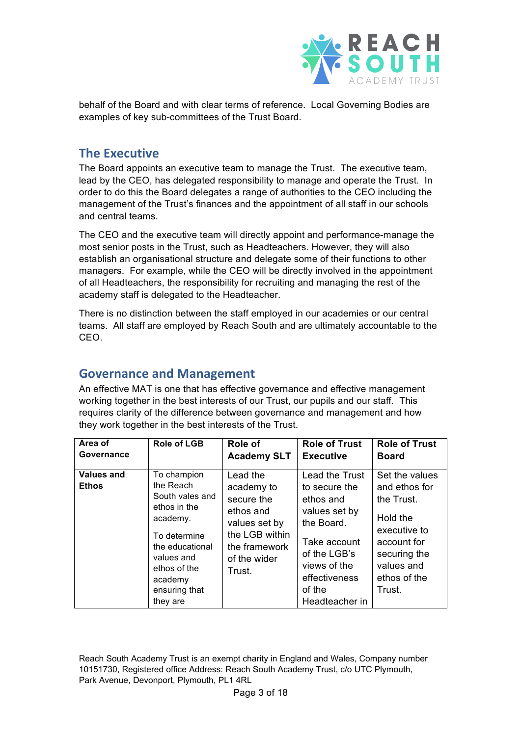

behalf of the Board and with clear terms of reference. Local Governing Bodies are examples of key sub-committees of the Trust Board.

#### **The Executive**

The Board appoints an executive team to manage the Trust. The executive team, lead by the CEO, has delegated responsibility to manage and operate the Trust. In order to do this the Board delegates a range of authorities to the CEO including the management of the Trust's finances and the appointment of all staff in our schools and central teams.

The CEO and the executive team will directly appoint and performance-manage the most senior posts in the Trust, such as Headteachers. However, they will also establish an organisational structure and delegate some of their functions to other managers. For example, while the CEO will be directly involved in the appointment of all Headteachers, the responsibility for recruiting and managing the rest of the academy staff is delegated to the Headteacher.

There is no distinction between the staff employed in our academies or our central teams. All staff are employed by Reach South and are ultimately accountable to the CEO.

#### **Governance and Management**

An effective MAT is one that has effective governance and effective management working together in the best interests of our Trust, our pupils and our staff. This requires clarity of the difference between governance and management and how they work together in the best interests of the Trust.

| Area of                    | <b>Role of LGB</b>                                                                                                                                                               | Role of                                                                                                                         | <b>Role of Trust</b>                                                                                                                                                     | <b>Role of Trust</b>                                                                                                                             |
|----------------------------|----------------------------------------------------------------------------------------------------------------------------------------------------------------------------------|---------------------------------------------------------------------------------------------------------------------------------|--------------------------------------------------------------------------------------------------------------------------------------------------------------------------|--------------------------------------------------------------------------------------------------------------------------------------------------|
| Governance                 |                                                                                                                                                                                  | <b>Academy SLT</b>                                                                                                              | <b>Executive</b>                                                                                                                                                         | <b>Board</b>                                                                                                                                     |
| Values and<br><b>Ethos</b> | To champion<br>the Reach<br>South vales and<br>ethos in the<br>academy.<br>To determine<br>the educational<br>values and<br>ethos of the<br>academy<br>ensuring that<br>they are | Lead the<br>academy to<br>secure the<br>ethos and<br>values set by<br>the LGB within<br>the framework<br>of the wider<br>Trust. | Lead the Trust<br>to secure the<br>ethos and<br>values set by<br>the Board.<br>Take account<br>of the LGB's<br>views of the<br>effectiveness<br>of the<br>Headteacher in | Set the values<br>and ethos for<br>the Trust.<br>Hold the<br>executive to<br>account for<br>securing the<br>values and<br>ethos of the<br>Trust. |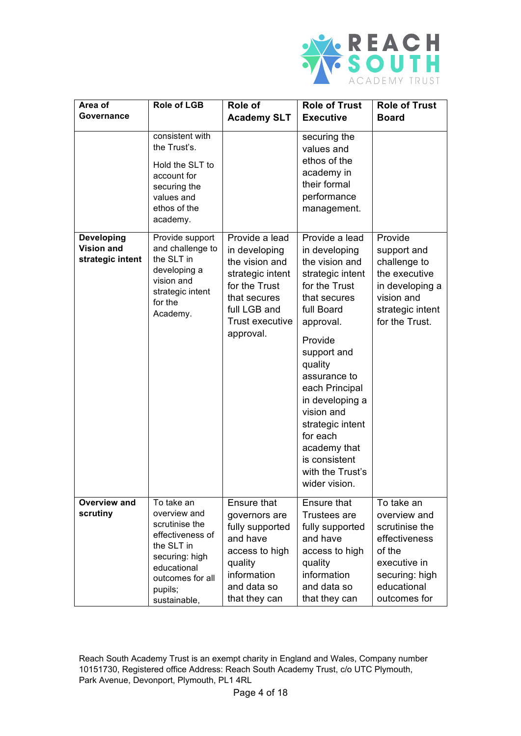

| Area of                                                    | <b>Role of LGB</b>                                                                                                                                             | Role of                                                                                                                                                | <b>Role of Trust</b>                                                                                                                                                                                                                                                                                                                            | <b>Role of Trust</b>                                                                                                                     |
|------------------------------------------------------------|----------------------------------------------------------------------------------------------------------------------------------------------------------------|--------------------------------------------------------------------------------------------------------------------------------------------------------|-------------------------------------------------------------------------------------------------------------------------------------------------------------------------------------------------------------------------------------------------------------------------------------------------------------------------------------------------|------------------------------------------------------------------------------------------------------------------------------------------|
| Governance                                                 |                                                                                                                                                                | <b>Academy SLT</b>                                                                                                                                     | <b>Executive</b>                                                                                                                                                                                                                                                                                                                                | <b>Board</b>                                                                                                                             |
|                                                            | consistent with<br>the Trust's.<br>Hold the SLT to<br>account for<br>securing the<br>values and<br>ethos of the<br>academy.                                    |                                                                                                                                                        | securing the<br>values and<br>ethos of the<br>academy in<br>their formal<br>performance<br>management.                                                                                                                                                                                                                                          |                                                                                                                                          |
| <b>Developing</b><br><b>Vision and</b><br>strategic intent | Provide support<br>and challenge to<br>the SLT in<br>developing a<br>vision and<br>strategic intent<br>for the<br>Academy.                                     | Provide a lead<br>in developing<br>the vision and<br>strategic intent<br>for the Trust<br>that secures<br>full LGB and<br>Trust executive<br>approval. | Provide a lead<br>in developing<br>the vision and<br>strategic intent<br>for the Trust<br>that secures<br>full Board<br>approval.<br>Provide<br>support and<br>quality<br>assurance to<br>each Principal<br>in developing a<br>vision and<br>strategic intent<br>for each<br>academy that<br>is consistent<br>with the Trust's<br>wider vision. | Provide<br>support and<br>challenge to<br>the executive<br>in developing a<br>vision and<br>strategic intent<br>for the Trust.           |
| Overview and<br>scrutiny                                   | To take an<br>overview and<br>scrutinise the<br>effectiveness of<br>the SLT in<br>securing: high<br>educational<br>outcomes for all<br>pupils;<br>sustainable, | Ensure that<br>governors are<br>fully supported<br>and have<br>access to high<br>quality<br>information<br>and data so<br>that they can                | Ensure that<br><b>Trustees are</b><br>fully supported<br>and have<br>access to high<br>quality<br>information<br>and data so<br>that they can                                                                                                                                                                                                   | To take an<br>overview and<br>scrutinise the<br>effectiveness<br>of the<br>executive in<br>securing: high<br>educational<br>outcomes for |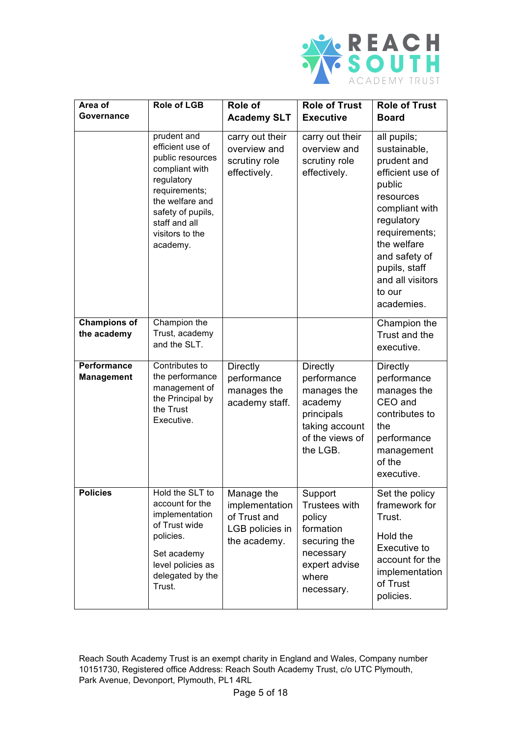

| Area of<br>Governance              | <b>Role of LGB</b>                                                                                                                                                                           | Role of<br><b>Academy SLT</b>                                                   | <b>Role of Trust</b><br><b>Executive</b>                                                                                | <b>Role of Trust</b><br><b>Board</b>                                                                                                                                                                                                |
|------------------------------------|----------------------------------------------------------------------------------------------------------------------------------------------------------------------------------------------|---------------------------------------------------------------------------------|-------------------------------------------------------------------------------------------------------------------------|-------------------------------------------------------------------------------------------------------------------------------------------------------------------------------------------------------------------------------------|
|                                    |                                                                                                                                                                                              |                                                                                 |                                                                                                                         |                                                                                                                                                                                                                                     |
|                                    | prudent and<br>efficient use of<br>public resources<br>compliant with<br>regulatory<br>requirements;<br>the welfare and<br>safety of pupils,<br>staff and all<br>visitors to the<br>academy. | carry out their<br>overview and<br>scrutiny role<br>effectively.                | carry out their<br>overview and<br>scrutiny role<br>effectively.                                                        | all pupils;<br>sustainable,<br>prudent and<br>efficient use of<br>public<br>resources<br>compliant with<br>regulatory<br>requirements;<br>the welfare<br>and safety of<br>pupils, staff<br>and all visitors<br>to our<br>academies. |
| <b>Champions of</b><br>the academy | Champion the<br>Trust, academy<br>and the SLT.                                                                                                                                               |                                                                                 |                                                                                                                         | Champion the<br>Trust and the<br>executive.                                                                                                                                                                                         |
| Performance<br><b>Management</b>   | Contributes to<br>the performance<br>management of<br>the Principal by<br>the Trust<br>Executive.                                                                                            | <b>Directly</b><br>performance<br>manages the<br>academy staff.                 | <b>Directly</b><br>performance<br>manages the<br>academy<br>principals<br>taking account<br>of the views of<br>the LGB. | Directly<br>performance<br>manages the<br>CEO and<br>contributes to<br>the<br>performance<br>management<br>of the<br>executive.                                                                                                     |
| <b>Policies</b>                    | Hold the SLT to<br>account for the<br>implementation<br>of Trust wide<br>policies.<br>Set academy<br>level policies as<br>delegated by the<br>Trust.                                         | Manage the<br>implementation<br>of Trust and<br>LGB policies in<br>the academy. | Support<br>Trustees with<br>policy<br>formation<br>securing the<br>necessary<br>expert advise<br>where<br>necessary.    | Set the policy<br>framework for<br>Trust.<br>Hold the<br>Executive to<br>account for the<br>implementation<br>of Trust<br>policies.                                                                                                 |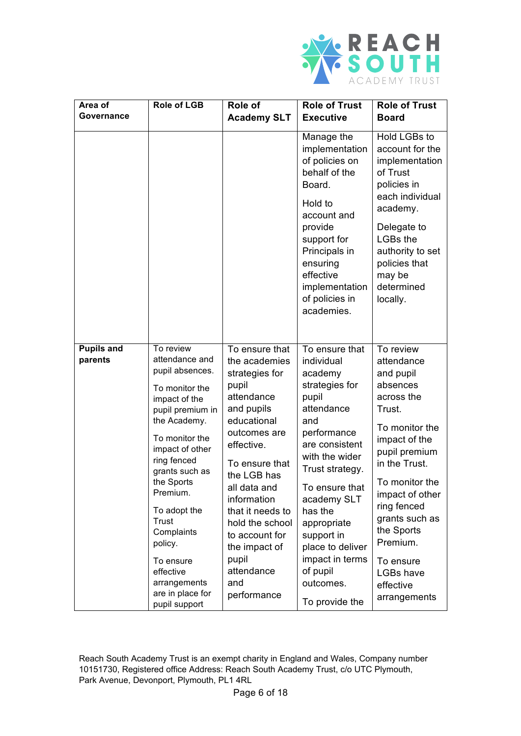

| Area of<br>Governance        | Role of LGB                                                                                                                                                                                                                                                                                                                                            | <b>Role of</b>                                                                                                                                                                                                                                                                                                             | <b>Role of Trust</b>                                                                                                                                                                                                                                                                                                     | <b>Role of Trust</b>                                                                                                                                                                                                                                                                                 |
|------------------------------|--------------------------------------------------------------------------------------------------------------------------------------------------------------------------------------------------------------------------------------------------------------------------------------------------------------------------------------------------------|----------------------------------------------------------------------------------------------------------------------------------------------------------------------------------------------------------------------------------------------------------------------------------------------------------------------------|--------------------------------------------------------------------------------------------------------------------------------------------------------------------------------------------------------------------------------------------------------------------------------------------------------------------------|------------------------------------------------------------------------------------------------------------------------------------------------------------------------------------------------------------------------------------------------------------------------------------------------------|
|                              |                                                                                                                                                                                                                                                                                                                                                        | <b>Academy SLT</b>                                                                                                                                                                                                                                                                                                         | <b>Executive</b>                                                                                                                                                                                                                                                                                                         | <b>Board</b>                                                                                                                                                                                                                                                                                         |
|                              |                                                                                                                                                                                                                                                                                                                                                        |                                                                                                                                                                                                                                                                                                                            | Manage the<br>implementation<br>of policies on<br>behalf of the<br>Board.<br>Hold to<br>account and<br>provide<br>support for<br>Principals in<br>ensuring<br>effective<br>implementation<br>of policies in<br>academies.                                                                                                | Hold LGBs to<br>account for the<br>implementation<br>of Trust<br>policies in<br>each individual<br>academy.<br>Delegate to<br><b>LGBs the</b><br>authority to set<br>policies that<br>may be<br>determined<br>locally.                                                                               |
| <b>Pupils and</b><br>parents | To review<br>attendance and<br>pupil absences.<br>To monitor the<br>impact of the<br>pupil premium in<br>the Academy.<br>To monitor the<br>impact of other<br>ring fenced<br>grants such as<br>the Sports<br>Premium.<br>To adopt the<br>Trust<br>Complaints<br>policy.<br>To ensure<br>effective<br>arrangements<br>are in place for<br>pupil support | To ensure that<br>the academies<br>strategies for<br>pupil<br>attendance<br>and pupils<br>educational<br>outcomes are<br>effective.<br>To ensure that<br>the LGB has<br>all data and<br>information<br>that it needs to<br>hold the school<br>to account for<br>the impact of<br>pupil<br>attendance<br>and<br>performance | To ensure that<br>individual<br>academy<br>strategies for<br>pupil<br>attendance<br>and<br>performance<br>are consistent<br>with the wider<br>Trust strategy.<br>To ensure that<br>academy SLT<br>has the<br>appropriate<br>support in<br>place to deliver<br>impact in terms<br>of pupil<br>outcomes.<br>To provide the | To review<br>attendance<br>and pupil<br>absences<br>across the<br>Trust.<br>To monitor the<br>impact of the<br>pupil premium<br>in the Trust.<br>To monitor the<br>impact of other<br>ring fenced<br>grants such as<br>the Sports<br>Premium.<br>To ensure<br>LGBs have<br>effective<br>arrangements |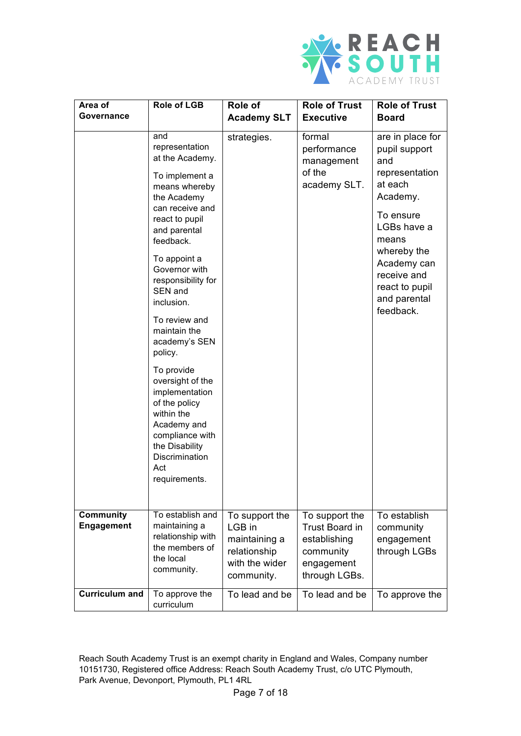

| Area of                               | <b>Role of LGB</b>                                                                                                                                                            | Role of                                                                                   | <b>Role of Trust</b>                                                                         | <b>Role of Trust</b>                                                                                             |
|---------------------------------------|-------------------------------------------------------------------------------------------------------------------------------------------------------------------------------|-------------------------------------------------------------------------------------------|----------------------------------------------------------------------------------------------|------------------------------------------------------------------------------------------------------------------|
| Governance                            |                                                                                                                                                                               | <b>Academy SLT</b>                                                                        | <b>Executive</b>                                                                             | <b>Board</b>                                                                                                     |
|                                       | and<br>representation<br>at the Academy.<br>To implement a<br>means whereby<br>the Academy<br>can receive and<br>react to pupil                                               | strategies.                                                                               | formal<br>performance<br>management<br>of the<br>academy SLT.                                | are in place for<br>pupil support<br>and<br>representation<br>at each<br>Academy.<br>To ensure                   |
|                                       | and parental<br>feedback.<br>To appoint a<br>Governor with<br>responsibility for<br>SEN and<br>inclusion.                                                                     |                                                                                           |                                                                                              | LGBs have a<br>means<br>whereby the<br>Academy can<br>receive and<br>react to pupil<br>and parental<br>feedback. |
|                                       | To review and<br>maintain the<br>academy's SEN<br>policy.                                                                                                                     |                                                                                           |                                                                                              |                                                                                                                  |
|                                       | To provide<br>oversight of the<br>implementation<br>of the policy<br>within the<br>Academy and<br>compliance with<br>the Disability<br>Discrimination<br>Act<br>requirements. |                                                                                           |                                                                                              |                                                                                                                  |
| <b>Community</b><br><b>Engagement</b> | To establish and<br>maintaining a<br>relationship with<br>the members of<br>the local<br>community.                                                                           | To support the<br>LGB in<br>maintaining a<br>relationship<br>with the wider<br>community. | To support the<br>Trust Board in<br>establishing<br>community<br>engagement<br>through LGBs. | To establish<br>community<br>engagement<br>through LGBs                                                          |
| <b>Curriculum and</b>                 | To approve the<br>curriculum                                                                                                                                                  | To lead and be                                                                            | To lead and be                                                                               | To approve the                                                                                                   |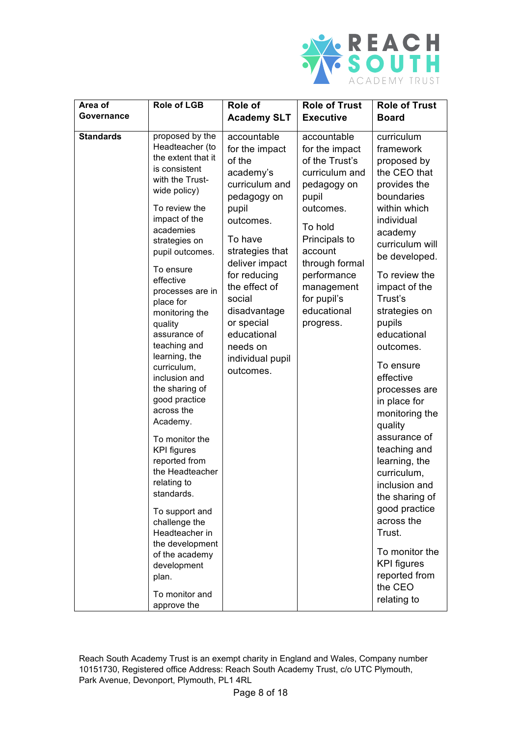

| Area of          | <b>Role of LGB</b>                                                                                                                                                                                                                                                                                                                                                                                                                                                                                                                                                                                                                                                                                | Role of                                                                                                                                                                                                                                                                                          | <b>Role of Trust</b>                                                                                                                                                                                                                    | <b>Role of Trust</b>                                                                                                                                                                                                                                                                                                                                                                                                                                                                                                                                                                         |
|------------------|---------------------------------------------------------------------------------------------------------------------------------------------------------------------------------------------------------------------------------------------------------------------------------------------------------------------------------------------------------------------------------------------------------------------------------------------------------------------------------------------------------------------------------------------------------------------------------------------------------------------------------------------------------------------------------------------------|--------------------------------------------------------------------------------------------------------------------------------------------------------------------------------------------------------------------------------------------------------------------------------------------------|-----------------------------------------------------------------------------------------------------------------------------------------------------------------------------------------------------------------------------------------|----------------------------------------------------------------------------------------------------------------------------------------------------------------------------------------------------------------------------------------------------------------------------------------------------------------------------------------------------------------------------------------------------------------------------------------------------------------------------------------------------------------------------------------------------------------------------------------------|
| Governance       |                                                                                                                                                                                                                                                                                                                                                                                                                                                                                                                                                                                                                                                                                                   | <b>Academy SLT</b>                                                                                                                                                                                                                                                                               | <b>Executive</b>                                                                                                                                                                                                                        | <b>Board</b>                                                                                                                                                                                                                                                                                                                                                                                                                                                                                                                                                                                 |
| <b>Standards</b> | proposed by the<br>Headteacher (to<br>the extent that it<br>is consistent<br>with the Trust-<br>wide policy)<br>To review the<br>impact of the<br>academies<br>strategies on<br>pupil outcomes.<br>To ensure<br>effective<br>processes are in<br>place for<br>monitoring the<br>quality<br>assurance of<br>teaching and<br>learning, the<br>curriculum,<br>inclusion and<br>the sharing of<br>good practice<br>across the<br>Academy.<br>To monitor the<br><b>KPI</b> figures<br>reported from<br>the Headteacher<br>relating to<br>standards.<br>To support and<br>challenge the<br>Headteacher in<br>the development<br>of the academy<br>development<br>plan.<br>To monitor and<br>approve the | accountable<br>for the impact<br>of the<br>academy's<br>curriculum and<br>pedagogy on<br>pupil<br>outcomes.<br>To have<br>strategies that<br>deliver impact<br>for reducing<br>the effect of<br>social<br>disadvantage<br>or special<br>educational<br>needs on<br>individual pupil<br>outcomes. | accountable<br>for the impact<br>of the Trust's<br>curriculum and<br>pedagogy on<br>pupil<br>outcomes.<br>To hold<br>Principals to<br>account<br>through formal<br>performance<br>management<br>for pupil's<br>educational<br>progress. | curriculum<br>framework<br>proposed by<br>the CEO that<br>provides the<br>boundaries<br>within which<br>individual<br>academy<br>curriculum will<br>be developed.<br>To review the<br>impact of the<br>Trust's<br>strategies on<br>pupils<br>educational<br>outcomes.<br>To ensure<br>effective<br>processes are<br>in place for<br>monitoring the<br>quality<br>assurance of<br>teaching and<br>learning, the<br>curriculum,<br>inclusion and<br>the sharing of<br>good practice<br>across the<br>Trust.<br>To monitor the<br><b>KPI</b> figures<br>reported from<br>the CEO<br>relating to |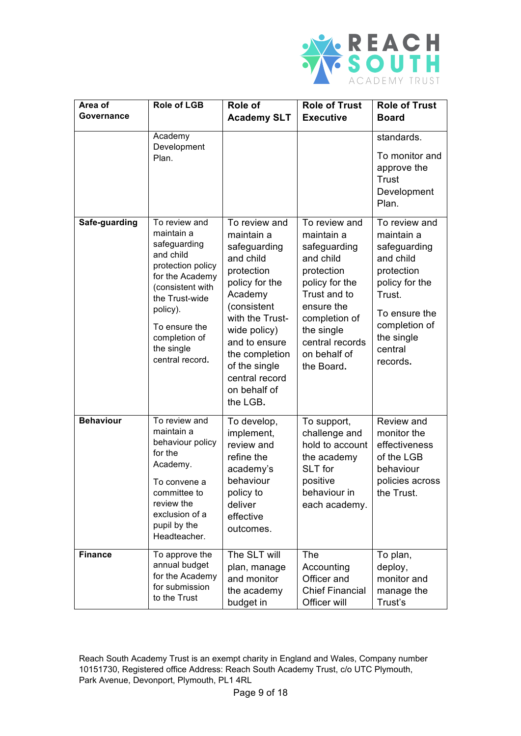

| Area of          | <b>Role of LGB</b>                                                                                                                                                                                                    | <b>Role of</b>                                                                                                                                                                                                                                          | <b>Role of Trust</b>                                                                                                                                                                                   | <b>Role of Trust</b>                                                                                                                                                      |
|------------------|-----------------------------------------------------------------------------------------------------------------------------------------------------------------------------------------------------------------------|---------------------------------------------------------------------------------------------------------------------------------------------------------------------------------------------------------------------------------------------------------|--------------------------------------------------------------------------------------------------------------------------------------------------------------------------------------------------------|---------------------------------------------------------------------------------------------------------------------------------------------------------------------------|
| Governance       |                                                                                                                                                                                                                       | <b>Academy SLT</b>                                                                                                                                                                                                                                      | <b>Executive</b>                                                                                                                                                                                       | <b>Board</b>                                                                                                                                                              |
|                  | Academy<br>Development<br>Plan.                                                                                                                                                                                       |                                                                                                                                                                                                                                                         |                                                                                                                                                                                                        | standards.<br>To monitor and<br>approve the<br>Trust<br>Development<br>Plan.                                                                                              |
| Safe-guarding    | To review and<br>maintain a<br>safeguarding<br>and child<br>protection policy<br>for the Academy<br>(consistent with<br>the Trust-wide<br>policy).<br>To ensure the<br>completion of<br>the single<br>central record. | To review and<br>maintain a<br>safeguarding<br>and child<br>protection<br>policy for the<br>Academy<br>(consistent<br>with the Trust-<br>wide policy)<br>and to ensure<br>the completion<br>of the single<br>central record<br>on behalf of<br>the LGB. | To review and<br>maintain a<br>safeguarding<br>and child<br>protection<br>policy for the<br>Trust and to<br>ensure the<br>completion of<br>the single<br>central records<br>on behalf of<br>the Board. | To review and<br>maintain a<br>safeguarding<br>and child<br>protection<br>policy for the<br>Trust.<br>To ensure the<br>completion of<br>the single<br>central<br>records. |
| <b>Behaviour</b> | To review and<br>maintain a<br>behaviour policy<br>for the<br>Academy.<br>To convene a<br>committee to<br>review the<br>exclusion of a<br>pupil by the<br>Headteacher.                                                | To develop,<br>implement,<br>review and<br>refine the<br>academy's<br>behaviour<br>policy to<br>deliver<br>effective<br>outcomes.                                                                                                                       | To support,<br>challenge and<br>hold to account<br>the academy<br>SLT for<br>positive<br>behaviour in<br>each academy.                                                                                 | Review and<br>monitor the<br>effectiveness<br>of the LGB<br>behaviour<br>policies across<br>the Trust.                                                                    |
| <b>Finance</b>   | To approve the<br>annual budget<br>for the Academy<br>for submission<br>to the Trust                                                                                                                                  | The SLT will<br>plan, manage<br>and monitor<br>the academy<br>budget in                                                                                                                                                                                 | The<br>Accounting<br>Officer and<br><b>Chief Financial</b><br>Officer will                                                                                                                             | To plan,<br>deploy,<br>monitor and<br>manage the<br>Trust's                                                                                                               |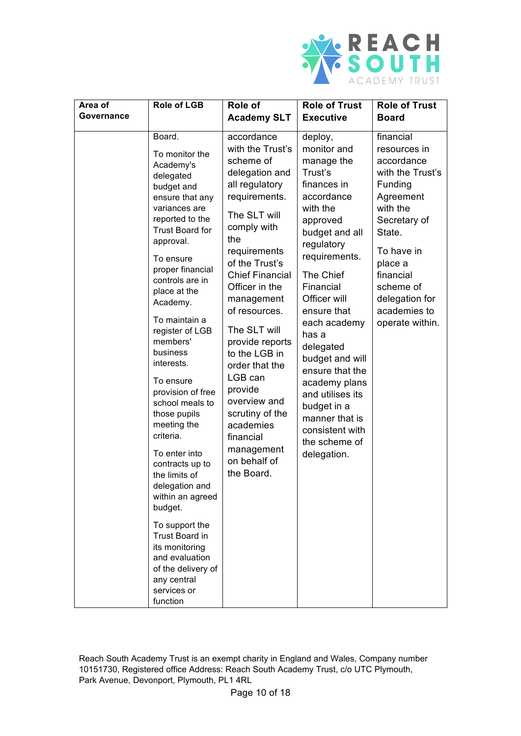

| Area of    | <b>Role of LGB</b>                                                                                                                                                                                                                                                                                                                                                                                                                                                                                                                                                                                                                                                      | Role of                                                                                                                                                                                                                                                                                                                                                                                                                                                  | <b>Role of Trust</b>                                                                                                                                                                                                                                                                                                                                                                                                | <b>Role of Trust</b>                                                                                                                                                                                                              |
|------------|-------------------------------------------------------------------------------------------------------------------------------------------------------------------------------------------------------------------------------------------------------------------------------------------------------------------------------------------------------------------------------------------------------------------------------------------------------------------------------------------------------------------------------------------------------------------------------------------------------------------------------------------------------------------------|----------------------------------------------------------------------------------------------------------------------------------------------------------------------------------------------------------------------------------------------------------------------------------------------------------------------------------------------------------------------------------------------------------------------------------------------------------|---------------------------------------------------------------------------------------------------------------------------------------------------------------------------------------------------------------------------------------------------------------------------------------------------------------------------------------------------------------------------------------------------------------------|-----------------------------------------------------------------------------------------------------------------------------------------------------------------------------------------------------------------------------------|
| Governance |                                                                                                                                                                                                                                                                                                                                                                                                                                                                                                                                                                                                                                                                         | <b>Academy SLT</b>                                                                                                                                                                                                                                                                                                                                                                                                                                       | <b>Executive</b>                                                                                                                                                                                                                                                                                                                                                                                                    | <b>Board</b>                                                                                                                                                                                                                      |
|            | Board.<br>To monitor the<br>Academy's<br>delegated<br>budget and<br>ensure that any<br>variances are<br>reported to the<br><b>Trust Board for</b><br>approval.<br>To ensure<br>proper financial<br>controls are in<br>place at the<br>Academy.<br>To maintain a<br>register of LGB<br>members'<br>business<br>interests.<br>To ensure<br>provision of free<br>school meals to<br>those pupils<br>meeting the<br>criteria.<br>To enter into<br>contracts up to<br>the limits of<br>delegation and<br>within an agreed<br>budget.<br>To support the<br>Trust Board in<br>its monitoring<br>and evaluation<br>of the delivery of<br>any central<br>services or<br>function | accordance<br>with the Trust's<br>scheme of<br>delegation and<br>all regulatory<br>requirements.<br>The SLT will<br>comply with<br>the<br>requirements<br>of the Trust's<br><b>Chief Financial</b><br>Officer in the<br>management<br>of resources.<br>The SLT will<br>provide reports<br>to the LGB in<br>order that the<br>LGB can<br>provide<br>overview and<br>scrutiny of the<br>academies<br>financial<br>management<br>on behalf of<br>the Board. | deploy,<br>monitor and<br>manage the<br>Trust's<br>finances in<br>accordance<br>with the<br>approved<br>budget and all<br>regulatory<br>requirements.<br>The Chief<br>Financial<br>Officer will<br>ensure that<br>each academy<br>has a<br>delegated<br>budget and will<br>ensure that the<br>academy plans<br>and utilises its<br>budget in a<br>manner that is<br>consistent with<br>the scheme of<br>delegation. | financial<br>resources in<br>accordance<br>with the Trust's<br>Funding<br>Agreement<br>with the<br>Secretary of<br>State.<br>To have in<br>place a<br>financial<br>scheme of<br>delegation for<br>academies to<br>operate within. |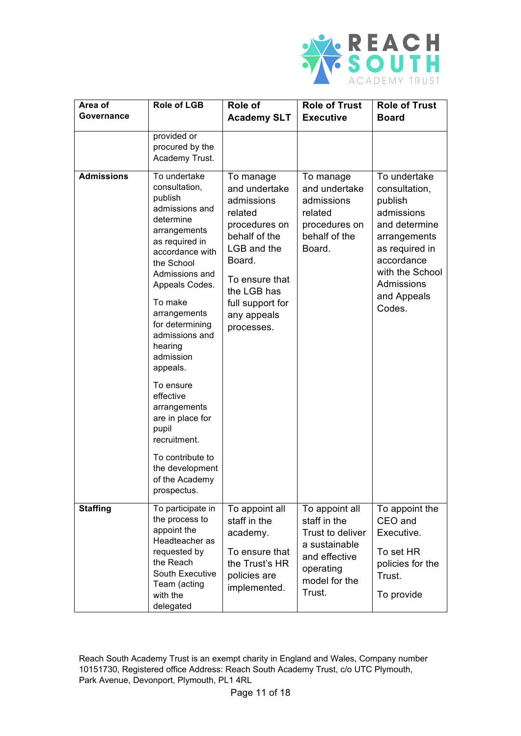

| Area of<br>Governance | <b>Role of LGB</b>                                                                                                                                                                                                                                                                                                                                                                                               | Role of<br><b>Academy SLT</b>                                                                                                                                                                    | <b>Role of Trust</b><br><b>Executive</b>                                                                                     | <b>Role of Trust</b><br><b>Board</b>                                                                                                                                              |
|-----------------------|------------------------------------------------------------------------------------------------------------------------------------------------------------------------------------------------------------------------------------------------------------------------------------------------------------------------------------------------------------------------------------------------------------------|--------------------------------------------------------------------------------------------------------------------------------------------------------------------------------------------------|------------------------------------------------------------------------------------------------------------------------------|-----------------------------------------------------------------------------------------------------------------------------------------------------------------------------------|
|                       | provided or<br>procured by the<br>Academy Trust.                                                                                                                                                                                                                                                                                                                                                                 |                                                                                                                                                                                                  |                                                                                                                              |                                                                                                                                                                                   |
| <b>Admissions</b>     | To undertake<br>consultation,<br>publish<br>admissions and<br>determine<br>arrangements<br>as required in<br>accordance with<br>the School<br>Admissions and<br>Appeals Codes.<br>To make<br>arrangements<br>for determining<br>admissions and<br>hearing<br>admission<br>appeals.<br>To ensure<br>effective<br>arrangements<br>are in place for<br>pupil<br>recruitment.<br>To contribute to<br>the development | To manage<br>and undertake<br>admissions<br>related<br>procedures on<br>behalf of the<br>LGB and the<br>Board.<br>To ensure that<br>the LGB has<br>full support for<br>any appeals<br>processes. | To manage<br>and undertake<br>admissions<br>related<br>procedures on<br>behalf of the<br>Board.                              | To undertake<br>consultation,<br>publish<br>admissions<br>and determine<br>arrangements<br>as required in<br>accordance<br>with the School<br>Admissions<br>and Appeals<br>Codes. |
|                       | of the Academy<br>prospectus.                                                                                                                                                                                                                                                                                                                                                                                    |                                                                                                                                                                                                  |                                                                                                                              |                                                                                                                                                                                   |
| <b>Staffing</b>       | To participate in<br>the process to<br>appoint the<br>Headteacher as<br>requested by<br>the Reach<br>South Executive<br>Team (acting<br>with the<br>delegated                                                                                                                                                                                                                                                    | To appoint all<br>staff in the<br>academy.<br>To ensure that<br>the Trust's HR<br>policies are<br>implemented.                                                                                   | To appoint all<br>staff in the<br>Trust to deliver<br>a sustainable<br>and effective<br>operating<br>model for the<br>Trust. | To appoint the<br>CEO and<br>Executive.<br>To set HR<br>policies for the<br>Trust.<br>To provide                                                                                  |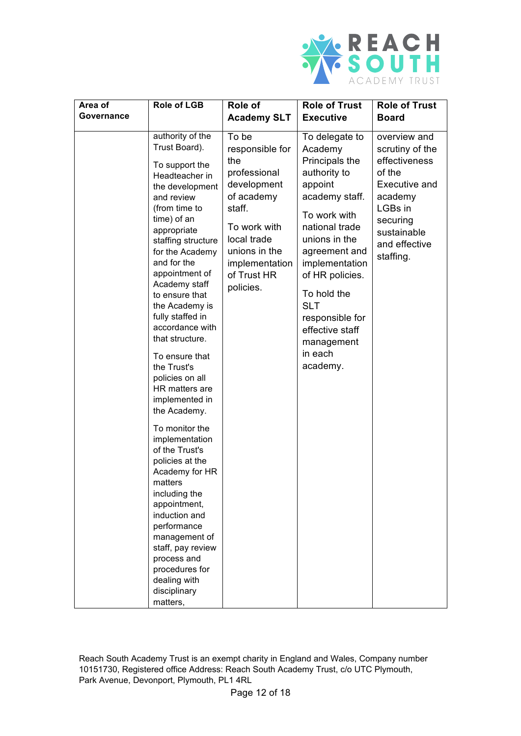

| Area of    | <b>Role of LGB</b>                                                                                                                                                                                                                                                                                                                                                                                                                                                                                                                                                                                                                                                                                                                               | Role of                                                                                                                                                                              | <b>Role of Trust</b>                                                                                                                                                                                                                                                                                      | <b>Role of Trust</b>                                                                                                                                       |
|------------|--------------------------------------------------------------------------------------------------------------------------------------------------------------------------------------------------------------------------------------------------------------------------------------------------------------------------------------------------------------------------------------------------------------------------------------------------------------------------------------------------------------------------------------------------------------------------------------------------------------------------------------------------------------------------------------------------------------------------------------------------|--------------------------------------------------------------------------------------------------------------------------------------------------------------------------------------|-----------------------------------------------------------------------------------------------------------------------------------------------------------------------------------------------------------------------------------------------------------------------------------------------------------|------------------------------------------------------------------------------------------------------------------------------------------------------------|
| Governance |                                                                                                                                                                                                                                                                                                                                                                                                                                                                                                                                                                                                                                                                                                                                                  | <b>Academy SLT</b>                                                                                                                                                                   | <b>Executive</b>                                                                                                                                                                                                                                                                                          | <b>Board</b>                                                                                                                                               |
|            | authority of the<br>Trust Board).<br>To support the<br>Headteacher in<br>the development<br>and review<br>(from time to<br>time) of an<br>appropriate<br>staffing structure<br>for the Academy<br>and for the<br>appointment of<br>Academy staff<br>to ensure that<br>the Academy is<br>fully staffed in<br>accordance with<br>that structure.<br>To ensure that<br>the Trust's<br>policies on all<br>HR matters are<br>implemented in<br>the Academy.<br>To monitor the<br>implementation<br>of the Trust's<br>policies at the<br>Academy for HR<br>matters<br>including the<br>appointment,<br>induction and<br>performance<br>management of<br>staff, pay review<br>process and<br>procedures for<br>dealing with<br>disciplinary<br>matters, | To be<br>responsible for<br>the<br>professional<br>development<br>of academy<br>staff.<br>To work with<br>local trade<br>unions in the<br>implementation<br>of Trust HR<br>policies. | To delegate to<br>Academy<br>Principals the<br>authority to<br>appoint<br>academy staff.<br>To work with<br>national trade<br>unions in the<br>agreement and<br>implementation<br>of HR policies.<br>To hold the<br><b>SLT</b><br>responsible for<br>effective staff<br>management<br>in each<br>academy. | overview and<br>scrutiny of the<br>effectiveness<br>of the<br>Executive and<br>academy<br>LGBs in<br>securing<br>sustainable<br>and effective<br>staffing. |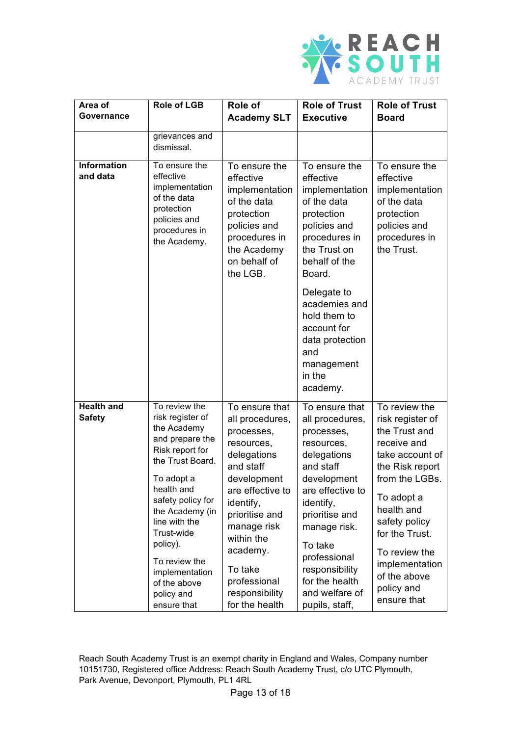

| Area of<br>Governance              | <b>Role of LGB</b>                                                                                                                                                                                                                                                                                        | Role of<br><b>Academy SLT</b>                                                                                                                                                                                                                                       | <b>Role of Trust</b><br><b>Executive</b>                                                                                                                                                                                                                                       | <b>Role of Trust</b><br><b>Board</b>                                                                                                                                                                                                                                     |
|------------------------------------|-----------------------------------------------------------------------------------------------------------------------------------------------------------------------------------------------------------------------------------------------------------------------------------------------------------|---------------------------------------------------------------------------------------------------------------------------------------------------------------------------------------------------------------------------------------------------------------------|--------------------------------------------------------------------------------------------------------------------------------------------------------------------------------------------------------------------------------------------------------------------------------|--------------------------------------------------------------------------------------------------------------------------------------------------------------------------------------------------------------------------------------------------------------------------|
|                                    | grievances and<br>dismissal.                                                                                                                                                                                                                                                                              |                                                                                                                                                                                                                                                                     |                                                                                                                                                                                                                                                                                |                                                                                                                                                                                                                                                                          |
| <b>Information</b><br>and data     | To ensure the<br>effective<br>implementation<br>of the data<br>protection<br>policies and<br>procedures in<br>the Academy.                                                                                                                                                                                | To ensure the<br>effective<br>implementation<br>of the data<br>protection<br>policies and<br>procedures in<br>the Academy<br>on behalf of<br>the LGB.                                                                                                               | To ensure the<br>effective<br>implementation<br>of the data<br>protection<br>policies and<br>procedures in<br>the Trust on<br>behalf of the<br>Board.                                                                                                                          | To ensure the<br>effective<br>implementation<br>of the data<br>protection<br>policies and<br>procedures in<br>the Trust.                                                                                                                                                 |
|                                    |                                                                                                                                                                                                                                                                                                           |                                                                                                                                                                                                                                                                     | Delegate to<br>academies and<br>hold them to<br>account for<br>data protection<br>and<br>management<br>in the<br>academy.                                                                                                                                                      |                                                                                                                                                                                                                                                                          |
| <b>Health and</b><br><b>Safety</b> | To review the<br>risk register of<br>the Academy<br>and prepare the<br>Risk report for<br>the Trust Board.<br>To adopt a<br>health and<br>safety policy for<br>the Academy (in<br>line with the<br>Trust-wide<br>policy).<br>To review the<br>implementation<br>of the above<br>policy and<br>ensure that | To ensure that<br>all procedures,<br>processes,<br>resources,<br>delegations<br>and staff<br>development<br>are effective to<br>identify,<br>prioritise and<br>manage risk<br>within the<br>academy.<br>To take<br>professional<br>responsibility<br>for the health | To ensure that<br>all procedures,<br>processes,<br>resources,<br>delegations<br>and staff<br>development<br>are effective to<br>identify,<br>prioritise and<br>manage risk.<br>To take<br>professional<br>responsibility<br>for the health<br>and welfare of<br>pupils, staff, | To review the<br>risk register of<br>the Trust and<br>receive and<br>take account of<br>the Risk report<br>from the LGBs.<br>To adopt a<br>health and<br>safety policy<br>for the Trust.<br>To review the<br>implementation<br>of the above<br>policy and<br>ensure that |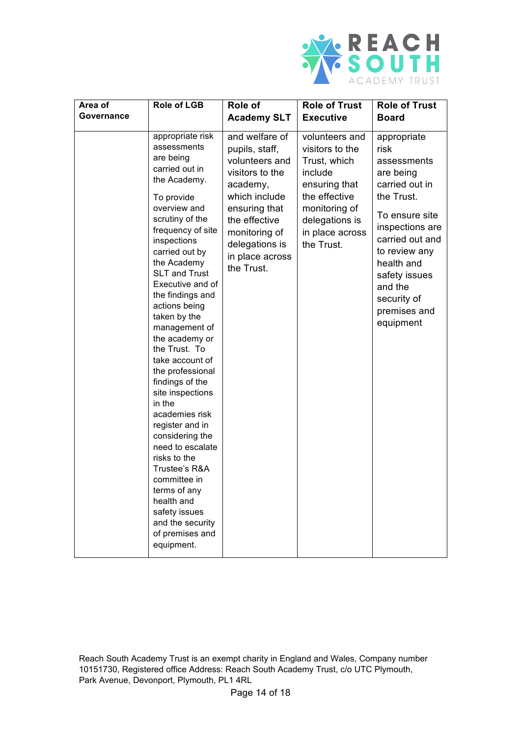

| Area of    | <b>Role of LGB</b>                                                                                                                                                                                                                                                                                                                                                                                                                                                                                                                                                                                                                                                                 | Role of                                                                                                                                                                                                  | <b>Role of Trust</b>                                                                                                                                               | <b>Role of Trust</b>                                                                                                                                                                                                                           |
|------------|------------------------------------------------------------------------------------------------------------------------------------------------------------------------------------------------------------------------------------------------------------------------------------------------------------------------------------------------------------------------------------------------------------------------------------------------------------------------------------------------------------------------------------------------------------------------------------------------------------------------------------------------------------------------------------|----------------------------------------------------------------------------------------------------------------------------------------------------------------------------------------------------------|--------------------------------------------------------------------------------------------------------------------------------------------------------------------|------------------------------------------------------------------------------------------------------------------------------------------------------------------------------------------------------------------------------------------------|
| Governance |                                                                                                                                                                                                                                                                                                                                                                                                                                                                                                                                                                                                                                                                                    | <b>Academy SLT</b>                                                                                                                                                                                       | <b>Executive</b>                                                                                                                                                   | <b>Board</b>                                                                                                                                                                                                                                   |
|            | appropriate risk<br>assessments<br>are being<br>carried out in<br>the Academy.<br>To provide<br>overview and<br>scrutiny of the<br>frequency of site<br>inspections<br>carried out by<br>the Academy<br><b>SLT and Trust</b><br>Executive and of<br>the findings and<br>actions being<br>taken by the<br>management of<br>the academy or<br>the Trust. To<br>take account of<br>the professional<br>findings of the<br>site inspections<br>in the<br>academies risk<br>register and in<br>considering the<br>need to escalate<br>risks to the<br>Trustee's R&A<br>committee in<br>terms of any<br>health and<br>safety issues<br>and the security<br>of premises and<br>equipment. | and welfare of<br>pupils, staff,<br>volunteers and<br>visitors to the<br>academy,<br>which include<br>ensuring that<br>the effective<br>monitoring of<br>delegations is<br>in place across<br>the Trust. | volunteers and<br>visitors to the<br>Trust, which<br>include<br>ensuring that<br>the effective<br>monitoring of<br>delegations is<br>in place across<br>the Trust. | appropriate<br>risk<br>assessments<br>are being<br>carried out in<br>the Trust.<br>To ensure site<br>inspections are<br>carried out and<br>to review any<br>health and<br>safety issues<br>and the<br>security of<br>premises and<br>equipment |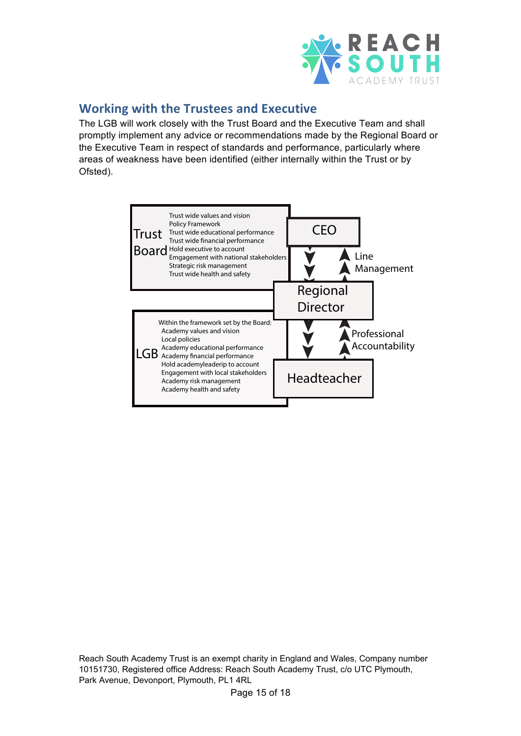

#### **Working with the Trustees and Executive**

The LGB will work closely with the Trust Board and the Executive Team and shall promptly implement any advice or recommendations made by the Regional Board or the Executive Team in respect of standards and performance, particularly where areas of weakness have been identified (either internally within the Trust or by Ofsted).

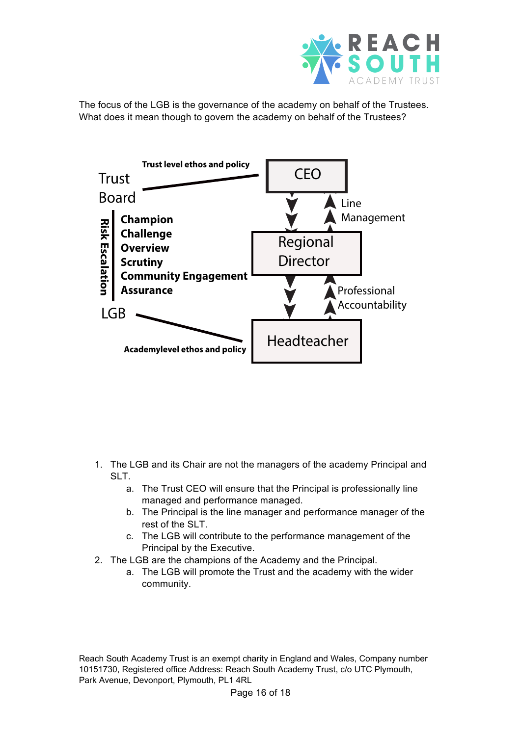

The focus of the LGB is the governance of the academy on behalf of the Trustees. What does it mean though to govern the academy on behalf of the Trustees?



- 1. The LGB and its Chair are not the managers of the academy Principal and SLT.
	- a. The Trust CEO will ensure that the Principal is professionally line managed and performance managed.
	- b. The Principal is the line manager and performance manager of the rest of the SLT.
	- c. The LGB will contribute to the performance management of the Principal by the Executive.
- 2. The LGB are the champions of the Academy and the Principal.
	- a. The LGB will promote the Trust and the academy with the wider community.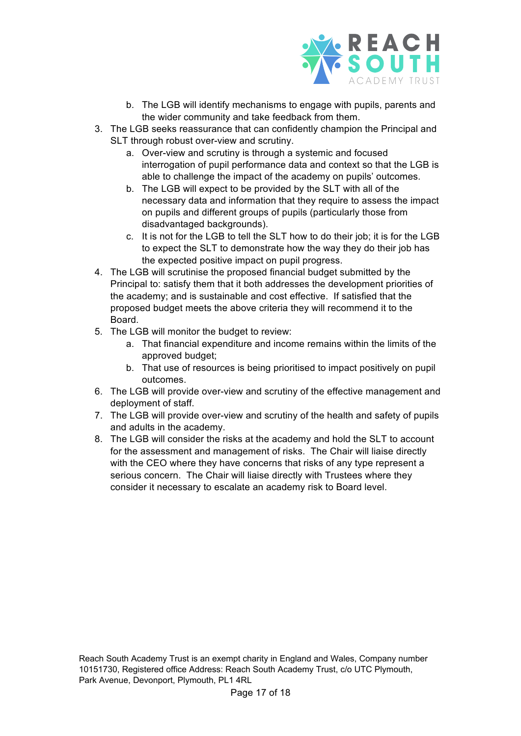

- b. The LGB will identify mechanisms to engage with pupils, parents and the wider community and take feedback from them.
- 3. The LGB seeks reassurance that can confidently champion the Principal and SLT through robust over-view and scrutiny.
	- a. Over-view and scrutiny is through a systemic and focused interrogation of pupil performance data and context so that the LGB is able to challenge the impact of the academy on pupils' outcomes.
	- b. The LGB will expect to be provided by the SLT with all of the necessary data and information that they require to assess the impact on pupils and different groups of pupils (particularly those from disadvantaged backgrounds).
	- c. It is not for the LGB to tell the SLT how to do their job; it is for the LGB to expect the SLT to demonstrate how the way they do their job has the expected positive impact on pupil progress.
- 4. The LGB will scrutinise the proposed financial budget submitted by the Principal to: satisfy them that it both addresses the development priorities of the academy; and is sustainable and cost effective. If satisfied that the proposed budget meets the above criteria they will recommend it to the Board.
- 5. The LGB will monitor the budget to review:
	- a. That financial expenditure and income remains within the limits of the approved budget;
	- b. That use of resources is being prioritised to impact positively on pupil outcomes.
- 6. The LGB will provide over-view and scrutiny of the effective management and deployment of staff.
- 7. The LGB will provide over-view and scrutiny of the health and safety of pupils and adults in the academy.
- 8. The LGB will consider the risks at the academy and hold the SLT to account for the assessment and management of risks. The Chair will liaise directly with the CEO where they have concerns that risks of any type represent a serious concern. The Chair will liaise directly with Trustees where they consider it necessary to escalate an academy risk to Board level.